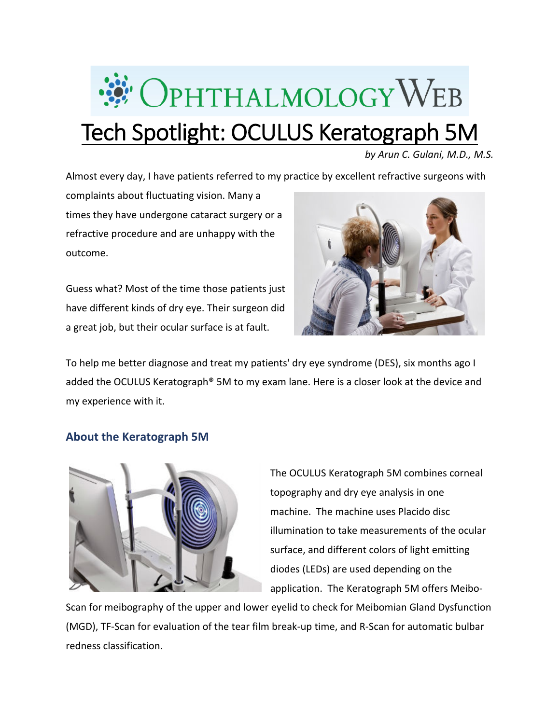

*by Arun C. Gulani, M.D., M.S.*

Almost every day, I have patients referred to my practice by excellent refractive surgeons with

complaints about fluctuating vision. Many a times they have undergone cataract surgery or a refractive procedure and are unhappy with the outcome.

Guess what? Most of the time those patients just have different kinds of dry eye. Their surgeon did a great job, but their ocular surface is at fault.



To help me better diagnose and treat my patients' dry eye syndrome (DES), six months ago I added the OCULUS Keratograph® 5M to my exam lane. Here is a closer look at the device and my experience with it.

## **About the Keratograph 5M**



The OCULUS Keratograph 5M combines corneal topography and dry eye analysis in one machine. The machine uses Placido disc illumination to take measurements of the ocular surface, and different colors of light emitting diodes (LEDs) are used depending on the application. The Keratograph 5M offers Meibo-

Scan for meibography of the upper and lower eyelid to check for Meibomian Gland Dysfunction (MGD), TF-Scan for evaluation of the tear film break-up time, and R-Scan for automatic bulbar redness classification.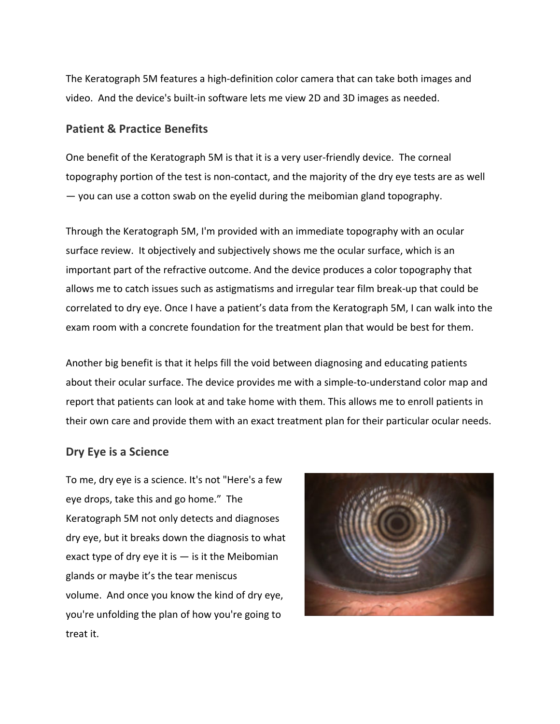The Keratograph 5M features a high-definition color camera that can take both images and video. And the device's built-in software lets me view 2D and 3D images as needed.

## **Patient & Practice Benefits**

One benefit of the Keratograph 5M is that it is a very user-friendly device. The corneal topography portion of the test is non-contact, and the majority of the dry eye tests are as well — you can use a cotton swab on the eyelid during the meibomian gland topography.

Through the Keratograph 5M, I'm provided with an immediate topography with an ocular surface review. It objectively and subjectively shows me the ocular surface, which is an important part of the refractive outcome. And the device produces a color topography that allows me to catch issues such as astigmatisms and irregular tear film break-up that could be correlated to dry eye. Once I have a patient's data from the Keratograph 5M, I can walk into the exam room with a concrete foundation for the treatment plan that would be best for them.

Another big benefit is that it helps fill the void between diagnosing and educating patients about their ocular surface. The device provides me with a simple-to-understand color map and report that patients can look at and take home with them. This allows me to enroll patients in their own care and provide them with an exact treatment plan for their particular ocular needs.

## **Dry Eye is a Science**

To me, dry eye is a science. It's not "Here's a few eye drops, take this and go home." The Keratograph 5M not only detects and diagnoses dry eye, but it breaks down the diagnosis to what exact type of dry eye it is  $-$  is it the Meibomian glands or maybe it's the tear meniscus volume. And once you know the kind of dry eye, you're unfolding the plan of how you're going to treat it.